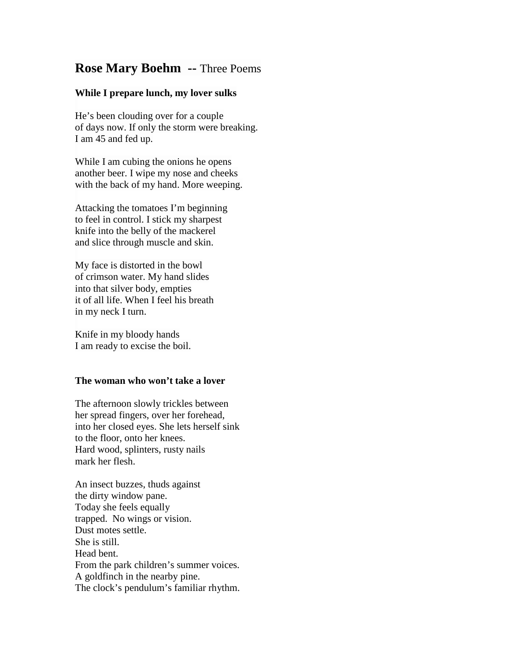## **Rose Mary Boehm --** Three Poems

## **While I prepare lunch, my lover sulks**

He's been clouding over for a couple of days now. If only the storm were breaking. I am 45 and fed up.

While I am cubing the onions he opens another beer. I wipe my nose and cheeks with the back of my hand. More weeping.

Attacking the tomatoes I'm beginning to feel in control. I stick my sharpest knife into the belly of the mackerel and slice through muscle and skin.

My face is distorted in the bowl of crimson water. My hand slides into that silver body, empties it of all life. When I feel his breath in my neck I turn.

Knife in my bloody hands I am ready to excise the boil.

## **The woman who won't take a lover**

The afternoon slowly trickles between her spread fingers, over her forehead, into her closed eyes. She lets herself sink to the floor, onto her knees. Hard wood, splinters, rusty nails mark her flesh.

An insect buzzes, thuds against the dirty window pane. Today she feels equally trapped. No wings or vision. Dust motes settle. She is still. Head bent. From the park children's summer voices. A goldfinch in the nearby pine. The clock's pendulum's familiar rhythm.